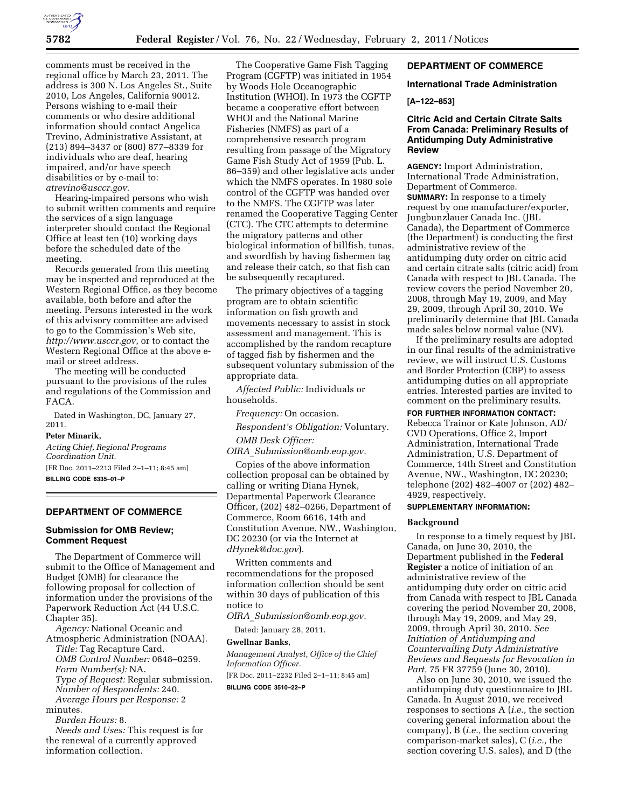

comments must be received in the regional office by March 23, 2011. The address is 300 N. Los Angeles St., Suite 2010, Los Angeles, California 90012. Persons wishing to e-mail their comments or who desire additional information should contact Angelica Trevino, Administrative Assistant, at (213) 894–3437 or (800) 877–8339 for individuals who are deaf, hearing impaired, and/or have speech disabilities or by e-mail to: *[atrevino@usccr.gov.](mailto:atrevino@usccr.gov)* 

Hearing-impaired persons who wish to submit written comments and require the services of a sign language interpreter should contact the Regional Office at least ten (10) working days before the scheduled date of the meeting.

Records generated from this meeting may be inspected and reproduced at the Western Regional Office, as they become available, both before and after the meeting. Persons interested in the work of this advisory committee are advised to go to the Commission's Web site, *<http://www.usccr.gov>*, or to contact the Western Regional Office at the above email or street address.

The meeting will be conducted pursuant to the provisions of the rules and regulations of the Commission and FACA.

Dated in Washington, DC, January 27, 2011.

# **Peter Minarik,**

*Acting Chief, Regional Programs Coordination Unit.* 

[FR Doc. 2011–2213 Filed 2–1–11; 8:45 am] **BILLING CODE 6335–01–P** 

# **DEPARTMENT OF COMMERCE**

## **Submission for OMB Review; Comment Request**

The Department of Commerce will submit to the Office of Management and Budget (OMB) for clearance the following proposal for collection of information under the provisions of the Paperwork Reduction Act (44 U.S.C. Chapter 35).

*Agency:* National Oceanic and Atmospheric Administration (NOAA).

*Title:* Tag Recapture Card. *OMB Control Number:* 0648–0259. *Form Number(s):* NA. *Type of Request:* Regular submission. *Number of Respondents:* 240. *Average Hours per Response:* 2 minutes.

*Burden Hours:* 8.

*Needs and Uses:* This request is for the renewal of a currently approved information collection.

The Cooperative Game Fish Tagging Program (CGFTP) was initiated in 1954 by Woods Hole Oceanographic Institution (WHOI). In 1973 the CGFTP became a cooperative effort between WHOI and the National Marine Fisheries (NMFS) as part of a comprehensive research program resulting from passage of the Migratory Game Fish Study Act of 1959 (Pub. L. 86–359) and other legislative acts under which the NMFS operates. In 1980 sole control of the CGFTP was handed over to the NMFS. The CGFTP was later renamed the Cooperative Tagging Center (CTC). The CTC attempts to determine the migratory patterns and other biological information of billfish, tunas, and swordfish by having fishermen tag and release their catch, so that fish can be subsequently recaptured.

The primary objectives of a tagging program are to obtain scientific information on fish growth and movements necessary to assist in stock assessment and management. This is accomplished by the random recapture of tagged fish by fishermen and the subsequent voluntary submission of the appropriate data.

*Affected Public:* Individuals or households.

*Frequency:* On occasion.

*Respondent's Obligation:* Voluntary.

*OMB Desk Officer:* 

*OIRA*\_*[Submission@omb.eop.gov.](mailto:OIRA_Submission@omb.eop.gov)* 

Copies of the above information collection proposal can be obtained by calling or writing Diana Hynek, Departmental Paperwork Clearance Officer, (202) 482–0266, Department of Commerce, Room 6616, 14th and Constitution Avenue, NW., Washington, DC 20230 (or via the Internet at *[dHynek@doc.gov](mailto:dHynek@doc.gov)*).

Written comments and recommendations for the proposed information collection should be sent within 30 days of publication of this notice to

*OIRA*\_*[Submission@omb.eop.gov.](mailto:OIRA_Submission@omb.eop.gov)* 

Dated: January 28, 2011.

# **Gwellnar Banks,**

*Management Analyst, Office of the Chief Information Officer.* 

[FR Doc. 2011–2232 Filed 2–1–11; 8:45 am]

**BILLING CODE 3510–22–P** 

# **DEPARTMENT OF COMMERCE**

#### **International Trade Administration**

### **[A–122–853]**

# **Citric Acid and Certain Citrate Salts From Canada: Preliminary Results of Antidumping Duty Administrative Review**

**AGENCY:** Import Administration, International Trade Administration, Department of Commerce. **SUMMARY:** In response to a timely request by one manufacturer/exporter, Jungbunzlauer Canada Inc. (JBL Canada), the Department of Commerce (the Department) is conducting the first administrative review of the antidumping duty order on citric acid and certain citrate salts (citric acid) from Canada with respect to JBL Canada. The review covers the period November 20, 2008, through May 19, 2009, and May 29, 2009, through April 30, 2010. We preliminarily determine that JBL Canada made sales below normal value (NV).

If the preliminary results are adopted in our final results of the administrative review, we will instruct U.S. Customs and Border Protection (CBP) to assess antidumping duties on all appropriate entries. Interested parties are invited to comment on the preliminary results.

# **FOR FURTHER INFORMATION CONTACT:**

Rebecca Trainor or Kate Johnson, AD/ CVD Operations, Office 2, Import Administration, International Trade Administration, U.S. Department of Commerce, 14th Street and Constitution Avenue, NW., Washington, DC 20230; telephone (202) 482–4007 or (202) 482– 4929, respectively.

# **SUPPLEMENTARY INFORMATION:**

### **Background**

In response to a timely request by JBL Canada, on June 30, 2010, the Department published in the **Federal Register** a notice of initiation of an administrative review of the antidumping duty order on citric acid from Canada with respect to JBL Canada covering the period November 20, 2008, through May 19, 2009, and May 29, 2009, through April 30, 2010. *See Initiation of Antidumping and Countervailing Duty Administrative Reviews and Requests for Revocation in Part,* 75 FR 37759 (June 30, 2010).

Also on June 30, 2010, we issued the antidumping duty questionnaire to JBL Canada. In August 2010, we received responses to sections A (*i.e.,* the section covering general information about the company), B (*i.e.,* the section covering comparison-market sales), C (*i.e.,* the section covering U.S. sales), and D (the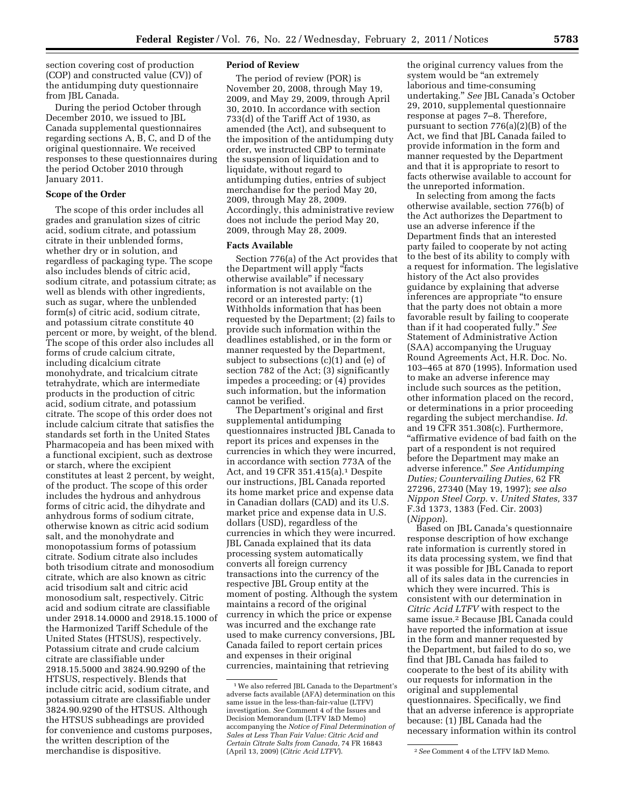section covering cost of production (COP) and constructed value (CV)) of the antidumping duty questionnaire from JBL Canada.

During the period October through December 2010, we issued to JBL Canada supplemental questionnaires regarding sections A, B, C, and D of the original questionnaire. We received responses to these questionnaires during the period October 2010 through January 2011.

# **Scope of the Order**

The scope of this order includes all grades and granulation sizes of citric acid, sodium citrate, and potassium citrate in their unblended forms, whether dry or in solution, and regardless of packaging type. The scope also includes blends of citric acid, sodium citrate, and potassium citrate; as well as blends with other ingredients, such as sugar, where the unblended form(s) of citric acid, sodium citrate, and potassium citrate constitute 40 percent or more, by weight, of the blend. The scope of this order also includes all forms of crude calcium citrate, including dicalcium citrate monohydrate, and tricalcium citrate tetrahydrate, which are intermediate products in the production of citric acid, sodium citrate, and potassium citrate. The scope of this order does not include calcium citrate that satisfies the standards set forth in the United States Pharmacopeia and has been mixed with a functional excipient, such as dextrose or starch, where the excipient constitutes at least 2 percent, by weight, of the product. The scope of this order includes the hydrous and anhydrous forms of citric acid, the dihydrate and anhydrous forms of sodium citrate, otherwise known as citric acid sodium salt, and the monohydrate and monopotassium forms of potassium citrate. Sodium citrate also includes both trisodium citrate and monosodium citrate, which are also known as citric acid trisodium salt and citric acid monosodium salt, respectively. Citric acid and sodium citrate are classifiable under 2918.14.0000 and 2918.15.1000 of the Harmonized Tariff Schedule of the United States (HTSUS), respectively. Potassium citrate and crude calcium citrate are classifiable under 2918.15.5000 and 3824.90.9290 of the HTSUS, respectively. Blends that include citric acid, sodium citrate, and potassium citrate are classifiable under 3824.90.9290 of the HTSUS. Although the HTSUS subheadings are provided for convenience and customs purposes, the written description of the merchandise is dispositive.

# **Period of Review**

The period of review (POR) is November 20, 2008, through May 19, 2009, and May 29, 2009, through April 30, 2010. In accordance with section 733(d) of the Tariff Act of 1930, as amended (the Act), and subsequent to the imposition of the antidumping duty order, we instructed CBP to terminate the suspension of liquidation and to liquidate, without regard to antidumping duties, entries of subject merchandise for the period May 20, 2009, through May 28, 2009. Accordingly, this administrative review does not include the period May 20, 2009, through May 28, 2009.

#### **Facts Available**

Section 776(a) of the Act provides that the Department will apply "facts otherwise available'' if necessary information is not available on the record or an interested party: (1) Withholds information that has been requested by the Department; (2) fails to provide such information within the deadlines established, or in the form or manner requested by the Department, subject to subsections (c)(1) and (e) of section 782 of the Act; (3) significantly impedes a proceeding; or (4) provides such information, but the information cannot be verified.

The Department's original and first supplemental antidumping questionnaires instructed JBL Canada to report its prices and expenses in the currencies in which they were incurred, in accordance with section 773A of the Act, and 19 CFR 351.415(a).1 Despite our instructions, JBL Canada reported its home market price and expense data in Canadian dollars (CAD) and its U.S. market price and expense data in U.S. dollars (USD), regardless of the currencies in which they were incurred. JBL Canada explained that its data processing system automatically converts all foreign currency transactions into the currency of the respective JBL Group entity at the moment of posting. Although the system maintains a record of the original currency in which the price or expense was incurred and the exchange rate used to make currency conversions, JBL Canada failed to report certain prices and expenses in their original currencies, maintaining that retrieving

the original currency values from the system would be "an extremely" laborious and time-consuming undertaking.'' *See* JBL Canada's October 29, 2010, supplemental questionnaire response at pages 7–8. Therefore, pursuant to section 776(a)(2)(B) of the Act, we find that JBL Canada failed to provide information in the form and manner requested by the Department and that it is appropriate to resort to facts otherwise available to account for the unreported information.

In selecting from among the facts otherwise available, section 776(b) of the Act authorizes the Department to use an adverse inference if the Department finds that an interested party failed to cooperate by not acting to the best of its ability to comply with a request for information. The legislative history of the Act also provides guidance by explaining that adverse inferences are appropriate ''to ensure that the party does not obtain a more favorable result by failing to cooperate than if it had cooperated fully.'' *See*  Statement of Administrative Action (SAA) accompanying the Uruguay Round Agreements Act, H.R. Doc. No. 103–465 at 870 (1995). Information used to make an adverse inference may include such sources as the petition, other information placed on the record, or determinations in a prior proceeding regarding the subject merchandise. *Id.*  and 19 CFR 351.308(c). Furthermore, ''affirmative evidence of bad faith on the part of a respondent is not required before the Department may make an adverse inference.'' *See Antidumping Duties; Countervailing Duties,* 62 FR 27296, 27340 (May 19, 1997); *see also Nippon Steel Corp.* v. *United States,* 337 F.3d 1373, 1383 (Fed. Cir. 2003) (*Nippon*).

Based on JBL Canada's questionnaire response description of how exchange rate information is currently stored in its data processing system, we find that it was possible for JBL Canada to report all of its sales data in the currencies in which they were incurred. This is consistent with our determination in *Citric Acid LTFV* with respect to the same issue.2 Because JBL Canada could have reported the information at issue in the form and manner requested by the Department, but failed to do so, we find that JBL Canada has failed to cooperate to the best of its ability with our requests for information in the original and supplemental questionnaires. Specifically, we find that an adverse inference is appropriate because: (1) JBL Canada had the necessary information within its control

<sup>1</sup>We also referred JBL Canada to the Department's adverse facts available (AFA) determination on this same issue in the less-than-fair-value (LTFV) investigation. *See* Comment 4 of the Issues and Decision Memorandum (LTFV I&D Memo) accompanying the *Notice of Final Determination of Sales at Less Than Fair Value: Citric Acid and Certain Citrate Salts from Canada,* 74 FR 16843

<sup>&</sup>lt;sup>2</sup> See Comment 4 of the LTFV I&D Memo.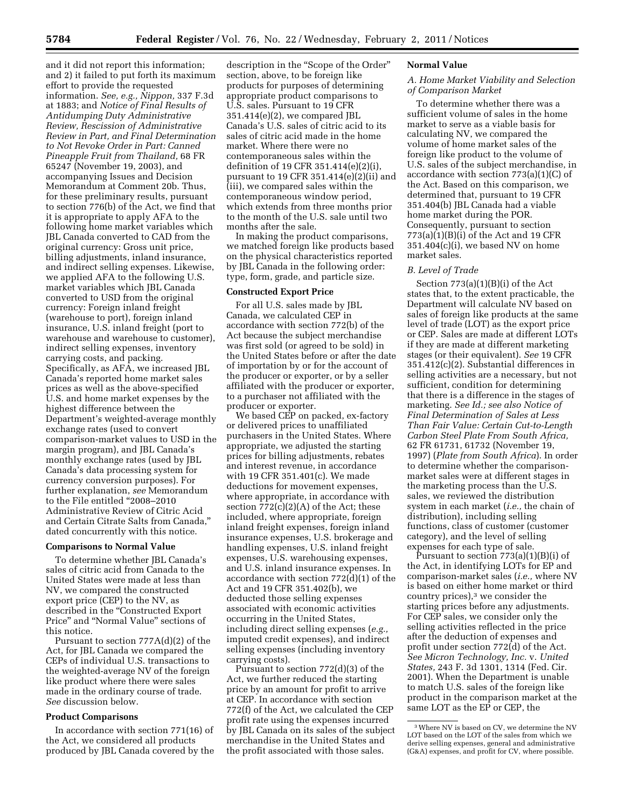and it did not report this information; and 2) it failed to put forth its maximum effort to provide the requested information. *See, e.g., Nippon,* 337 F.3d at 1883; and *Notice of Final Results of Antidumping Duty Administrative Review, Rescission of Administrative Review in Part, and Final Determination to Not Revoke Order in Part: Canned Pineapple Fruit from Thailand,* 68 FR 65247 (November 19, 2003), and accompanying Issues and Decision Memorandum at Comment 20b. Thus, for these preliminary results, pursuant to section 776(b) of the Act, we find that it is appropriate to apply AFA to the following home market variables which JBL Canada converted to CAD from the original currency: Gross unit price, billing adjustments, inland insurance, and indirect selling expenses. Likewise, we applied AFA to the following U.S. market variables which JBL Canada converted to USD from the original currency: Foreign inland freight (warehouse to port), foreign inland insurance, U.S. inland freight (port to warehouse and warehouse to customer), indirect selling expenses, inventory carrying costs, and packing. Specifically, as AFA, we increased JBL Canada's reported home market sales prices as well as the above-specified U.S. and home market expenses by the highest difference between the Department's weighted-average monthly exchange rates (used to convert comparison-market values to USD in the margin program), and JBL Canada's monthly exchange rates (used by JBL Canada's data processing system for currency conversion purposes). For further explanation, *see* Memorandum to the File entitled ''2008–2010 Administrative Review of Citric Acid and Certain Citrate Salts from Canada,'' dated concurrently with this notice.

#### **Comparisons to Normal Value**

To determine whether JBL Canada's sales of citric acid from Canada to the United States were made at less than NV, we compared the constructed export price (CEP) to the NV, as described in the ''Constructed Export Price'' and ''Normal Value'' sections of this notice.

Pursuant to section 777A(d)(2) of the Act, for JBL Canada we compared the CEPs of individual U.S. transactions to the weighted-average NV of the foreign like product where there were sales made in the ordinary course of trade. *See* discussion below.

## **Product Comparisons**

In accordance with section 771(16) of the Act, we considered all products produced by JBL Canada covered by the

description in the ''Scope of the Order'' section, above, to be foreign like products for purposes of determining appropriate product comparisons to U.S. sales. Pursuant to 19 CFR  $351.414(e)(2)$ , we compared JBL Canada's U.S. sales of citric acid to its sales of citric acid made in the home market. Where there were no contemporaneous sales within the definition of 19 CFR 351.414(e)(2)(i), pursuant to 19 CFR 351.414(e)(2)(ii) and (iii), we compared sales within the contemporaneous window period, which extends from three months prior to the month of the U.S. sale until two months after the sale.

In making the product comparisons, we matched foreign like products based on the physical characteristics reported by JBL Canada in the following order: type, form, grade, and particle size.

#### **Constructed Export Price**

For all U.S. sales made by JBL Canada, we calculated CEP in accordance with section 772(b) of the Act because the subject merchandise was first sold (or agreed to be sold) in the United States before or after the date of importation by or for the account of the producer or exporter, or by a seller affiliated with the producer or exporter, to a purchaser not affiliated with the producer or exporter.

We based CEP on packed, ex-factory or delivered prices to unaffiliated purchasers in the United States. Where appropriate, we adjusted the starting prices for billing adjustments, rebates and interest revenue, in accordance with 19 CFR 351.401(c). We made deductions for movement expenses, where appropriate, in accordance with section  $772(c)(2)(A)$  of the Act; these included, where appropriate, foreign inland freight expenses, foreign inland insurance expenses, U.S. brokerage and handling expenses, U.S. inland freight expenses, U.S. warehousing expenses, and U.S. inland insurance expenses. In accordance with section 772(d)(1) of the Act and 19 CFR 351.402(b), we deducted those selling expenses associated with economic activities occurring in the United States, including direct selling expenses (*e.g.,*  imputed credit expenses), and indirect selling expenses (including inventory carrying costs).

Pursuant to section 772(d)(3) of the Act, we further reduced the starting price by an amount for profit to arrive at CEP. In accordance with section 772(f) of the Act, we calculated the CEP profit rate using the expenses incurred by JBL Canada on its sales of the subject merchandise in the United States and the profit associated with those sales.

#### **Normal Value**

# *A. Home Market Viability and Selection of Comparison Market*

To determine whether there was a sufficient volume of sales in the home market to serve as a viable basis for calculating NV, we compared the volume of home market sales of the foreign like product to the volume of U.S. sales of the subject merchandise, in accordance with section 773(a)(1)(C) of the Act. Based on this comparison, we determined that, pursuant to 19 CFR 351.404(b) JBL Canada had a viable home market during the POR. Consequently, pursuant to section 773(a)(1)(B)(i) of the Act and 19 CFR  $351.404(c)(i)$ , we based NV on home market sales.

### *B. Level of Trade*

Section 773(a)(1)(B)(i) of the Act states that, to the extent practicable, the Department will calculate NV based on sales of foreign like products at the same level of trade (LOT) as the export price or CEP. Sales are made at different LOTs if they are made at different marketing stages (or their equivalent). *See* 19 CFR 351.412(c)(2). Substantial differences in selling activities are a necessary, but not sufficient, condition for determining that there is a difference in the stages of marketing. *See Id.; see also Notice of Final Determination of Sales at Less Than Fair Value: Certain Cut-to-Length Carbon Steel Plate From South Africa,*  62 FR 61731, 61732 (November 19, 1997) (*Plate from South Africa*). In order to determine whether the comparisonmarket sales were at different stages in the marketing process than the U.S. sales, we reviewed the distribution system in each market (*i.e.,* the chain of distribution), including selling functions, class of customer (customer category), and the level of selling expenses for each type of sale.

Pursuant to section  $773(a)(1)(B)(i)$  of the Act, in identifying LOTs for EP and comparison-market sales (*i.e.,* where NV is based on either home market or third country prices),3 we consider the starting prices before any adjustments. For CEP sales, we consider only the selling activities reflected in the price after the deduction of expenses and profit under section 772(d) of the Act. *See Micron Technology, Inc.* v. *United States,* 243 F. 3d 1301, 1314 (Fed. Cir. 2001). When the Department is unable to match U.S. sales of the foreign like product in the comparison market at the same LOT as the EP or CEP, the

<sup>3</sup>Where NV is based on CV, we determine the NV LOT based on the LOT of the sales from which we derive selling expenses, general and administrative (G&A) expenses, and profit for CV, where possible.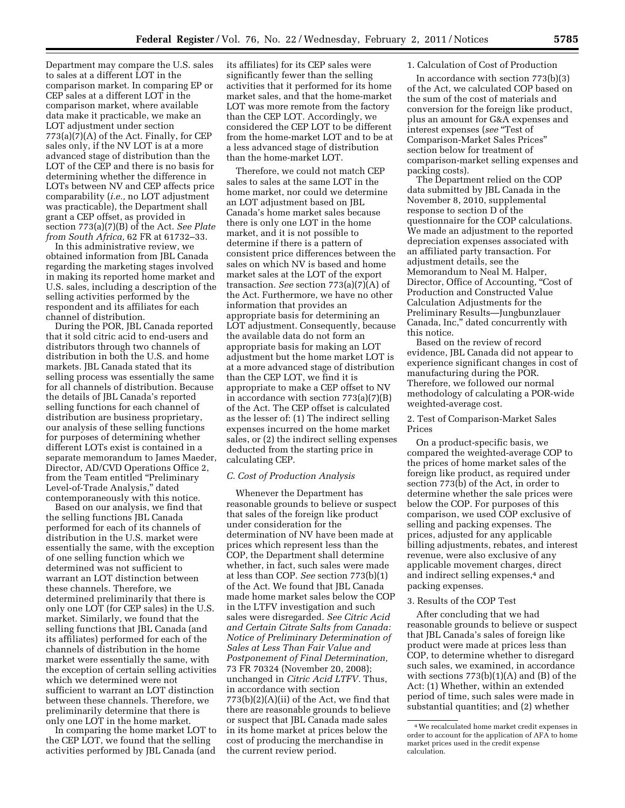Department may compare the U.S. sales to sales at a different LOT in the comparison market. In comparing EP or CEP sales at a different LOT in the comparison market, where available data make it practicable, we make an LOT adjustment under section 773(a)(7)(A) of the Act. Finally, for CEP sales only, if the NV LOT is at a more advanced stage of distribution than the LOT of the CEP and there is no basis for determining whether the difference in LOTs between NV and CEP affects price comparability (*i.e.,* no LOT adjustment was practicable), the Department shall grant a CEP offset, as provided in section 773(a)(7)(B) of the Act. *See Plate from South Africa,* 62 FR at 61732–33.

In this administrative review, we obtained information from JBL Canada regarding the marketing stages involved in making its reported home market and U.S. sales, including a description of the selling activities performed by the respondent and its affiliates for each channel of distribution.

During the POR, JBL Canada reported that it sold citric acid to end-users and distributors through two channels of distribution in both the U.S. and home markets. JBL Canada stated that its selling process was essentially the same for all channels of distribution. Because the details of JBL Canada's reported selling functions for each channel of distribution are business proprietary, our analysis of these selling functions for purposes of determining whether different LOTs exist is contained in a separate memorandum to James Maeder, Director, AD/CVD Operations Office 2, from the Team entitled "Preliminary Level-of-Trade Analysis,'' dated contemporaneously with this notice.

Based on our analysis, we find that the selling functions JBL Canada performed for each of its channels of distribution in the U.S. market were essentially the same, with the exception of one selling function which we determined was not sufficient to warrant an LOT distinction between these channels. Therefore, we determined preliminarily that there is only one LOT (for CEP sales) in the U.S. market. Similarly, we found that the selling functions that JBL Canada (and its affiliates) performed for each of the channels of distribution in the home market were essentially the same, with the exception of certain selling activities which we determined were not sufficient to warrant an LOT distinction between these channels. Therefore, we preliminarily determine that there is only one LOT in the home market.

In comparing the home market LOT to the CEP LOT, we found that the selling activities performed by JBL Canada (and

its affiliates) for its CEP sales were significantly fewer than the selling activities that it performed for its home market sales, and that the home-market LOT was more remote from the factory than the CEP LOT. Accordingly, we considered the CEP LOT to be different from the home-market LOT and to be at a less advanced stage of distribution than the home-market LOT.

Therefore, we could not match CEP sales to sales at the same LOT in the home market, nor could we determine an LOT adjustment based on JBL Canada's home market sales because there is only one LOT in the home market, and it is not possible to determine if there is a pattern of consistent price differences between the sales on which NV is based and home market sales at the LOT of the export transaction. *See* section 773(a)(7)(A) of the Act. Furthermore, we have no other information that provides an appropriate basis for determining an LOT adjustment. Consequently, because the available data do not form an appropriate basis for making an LOT adjustment but the home market LOT is at a more advanced stage of distribution than the CEP LOT, we find it is appropriate to make a CEP offset to NV in accordance with section 773(a)(7)(B) of the Act. The CEP offset is calculated as the lesser of: (1) The indirect selling expenses incurred on the home market sales, or (2) the indirect selling expenses deducted from the starting price in calculating CEP.

## *C. Cost of Production Analysis*

Whenever the Department has reasonable grounds to believe or suspect that sales of the foreign like product under consideration for the determination of NV have been made at prices which represent less than the COP, the Department shall determine whether, in fact, such sales were made at less than COP. *See* section 773(b)(1) of the Act. We found that JBL Canada made home market sales below the COP in the LTFV investigation and such sales were disregarded. *See Citric Acid and Certain Citrate Salts from Canada: Notice of Preliminary Determination of Sales at Less Than Fair Value and Postponement of Final Determination,*  73 FR 70324 (November 20, 2008); unchanged in *Citric Acid LTFV.* Thus, in accordance with section  $773(b)(2)(A)(ii)$  of the Act, we find that there are reasonable grounds to believe or suspect that JBL Canada made sales in its home market at prices below the cost of producing the merchandise in the current review period.

## 1. Calculation of Cost of Production

In accordance with section 773(b)(3) of the Act, we calculated COP based on the sum of the cost of materials and conversion for the foreign like product, plus an amount for G&A expenses and interest expenses (*see* ''Test of Comparison-Market Sales Prices'' section below for treatment of comparison-market selling expenses and packing costs).

The Department relied on the COP data submitted by JBL Canada in the November 8, 2010, supplemental response to section D of the questionnaire for the COP calculations. We made an adjustment to the reported depreciation expenses associated with an affiliated party transaction. For adjustment details, see the Memorandum to Neal M. Halper, Director, Office of Accounting, "Cost of Production and Constructed Value Calculation Adjustments for the Preliminary Results—Jungbunzlauer Canada, Inc,'' dated concurrently with this notice.

Based on the review of record evidence, JBL Canada did not appear to experience significant changes in cost of manufacturing during the POR. Therefore, we followed our normal methodology of calculating a POR-wide weighted-average cost.

# 2. Test of Comparison-Market Sales Prices

On a product-specific basis, we compared the weighted-average COP to the prices of home market sales of the foreign like product, as required under section 773(b) of the Act, in order to determine whether the sale prices were below the COP. For purposes of this comparison, we used COP exclusive of selling and packing expenses. The prices, adjusted for any applicable billing adjustments, rebates, and interest revenue, were also exclusive of any applicable movement charges, direct and indirect selling expenses,<sup>4</sup> and packing expenses.

## 3. Results of the COP Test

After concluding that we had reasonable grounds to believe or suspect that JBL Canada's sales of foreign like product were made at prices less than COP, to determine whether to disregard such sales, we examined, in accordance with sections  $773(b)(1)(A)$  and  $(B)$  of the Act: (1) Whether, within an extended period of time, such sales were made in substantial quantities; and (2) whether

<sup>4</sup>We recalculated home market credit expenses in order to account for the application of AFA to home market prices used in the credit expense calculation.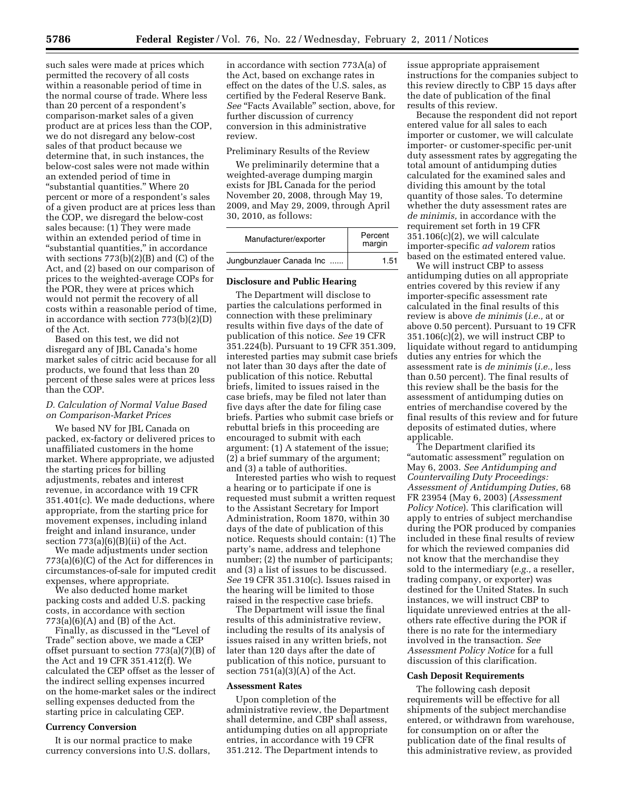such sales were made at prices which permitted the recovery of all costs within a reasonable period of time in the normal course of trade. Where less than 20 percent of a respondent's comparison-market sales of a given product are at prices less than the COP, we do not disregard any below-cost sales of that product because we determine that, in such instances, the below-cost sales were not made within an extended period of time in "substantial quantities." Where 20 percent or more of a respondent's sales of a given product are at prices less than the COP, we disregard the below-cost sales because: (1) They were made within an extended period of time in "substantial quantities," in accordance with sections 773(b)(2)(B) and (C) of the Act, and (2) based on our comparison of prices to the weighted-average COPs for the POR, they were at prices which would not permit the recovery of all costs within a reasonable period of time, in accordance with section 773(b)(2)(D) of the Act.

Based on this test, we did not disregard any of JBL Canada's home market sales of citric acid because for all products, we found that less than 20 percent of these sales were at prices less than the COP.

# *D. Calculation of Normal Value Based on Comparison-Market Prices*

We based NV for IBL Canada on packed, ex-factory or delivered prices to unaffiliated customers in the home market. Where appropriate, we adjusted the starting prices for billing adjustments, rebates and interest revenue, in accordance with 19 CFR 351.401(c). We made deductions, where appropriate, from the starting price for movement expenses, including inland freight and inland insurance, under section  $773(a)(6)(B)(ii)$  of the Act.

We made adjustments under section 773(a)(6)(C) of the Act for differences in circumstances-of-sale for imputed credit expenses, where appropriate.

We also deducted home market packing costs and added U.S. packing costs, in accordance with section  $773(a)(6)(A)$  and  $(B)$  of the Act.

Finally, as discussed in the "Level of Trade'' section above, we made a CEP offset pursuant to section 773(a)(7)(B) of the Act and 19 CFR 351.412(f). We calculated the CEP offset as the lesser of the indirect selling expenses incurred on the home-market sales or the indirect selling expenses deducted from the starting price in calculating CEP.

# **Currency Conversion**

It is our normal practice to make currency conversions into U.S. dollars,

in accordance with section 773A(a) of the Act, based on exchange rates in effect on the dates of the U.S. sales, as certified by the Federal Reserve Bank. See "Facts Available" section, above, for further discussion of currency conversion in this administrative review.

### Preliminary Results of the Review

We preliminarily determine that a weighted-average dumping margin exists for JBL Canada for the period November 20, 2008, through May 19, 2009, and May 29, 2009, through April 30, 2010, as follows:

| Manufacturer/exporter    | Percent<br>margin |
|--------------------------|-------------------|
| Jungbunzlauer Canada Inc | 1.51              |

#### **Disclosure and Public Hearing**

The Department will disclose to parties the calculations performed in connection with these preliminary results within five days of the date of publication of this notice. *See* 19 CFR 351.224(b). Pursuant to 19 CFR 351.309, interested parties may submit case briefs not later than 30 days after the date of publication of this notice. Rebuttal briefs, limited to issues raised in the case briefs, may be filed not later than five days after the date for filing case briefs. Parties who submit case briefs or rebuttal briefs in this proceeding are encouraged to submit with each argument: (1) A statement of the issue; (2) a brief summary of the argument; and (3) a table of authorities.

Interested parties who wish to request a hearing or to participate if one is requested must submit a written request to the Assistant Secretary for Import Administration, Room 1870, within 30 days of the date of publication of this notice. Requests should contain: (1) The party's name, address and telephone number; (2) the number of participants; and (3) a list of issues to be discussed. *See* 19 CFR 351.310(c). Issues raised in the hearing will be limited to those raised in the respective case briefs.

The Department will issue the final results of this administrative review, including the results of its analysis of issues raised in any written briefs, not later than 120 days after the date of publication of this notice, pursuant to section  $751(a)(3)(A)$  of the Act.

#### **Assessment Rates**

Upon completion of the administrative review, the Department shall determine, and CBP shall assess, antidumping duties on all appropriate entries, in accordance with 19 CFR 351.212. The Department intends to

issue appropriate appraisement instructions for the companies subject to this review directly to CBP 15 days after the date of publication of the final results of this review.

Because the respondent did not report entered value for all sales to each importer or customer, we will calculate importer- or customer-specific per-unit duty assessment rates by aggregating the total amount of antidumping duties calculated for the examined sales and dividing this amount by the total quantity of those sales. To determine whether the duty assessment rates are *de minimis,* in accordance with the requirement set forth in 19 CFR 351.106(c)(2), we will calculate importer-specific *ad valorem* ratios based on the estimated entered value.

We will instruct CBP to assess antidumping duties on all appropriate entries covered by this review if any importer-specific assessment rate calculated in the final results of this review is above *de minimis* (*i.e.,* at or above 0.50 percent). Pursuant to 19 CFR  $351.106(c)(2)$ , we will instruct CBP to liquidate without regard to antidumping duties any entries for which the assessment rate is *de minimis* (*i.e.,* less than 0.50 percent). The final results of this review shall be the basis for the assessment of antidumping duties on entries of merchandise covered by the final results of this review and for future deposits of estimated duties, where applicable.

The Department clarified its ''automatic assessment'' regulation on May 6, 2003. *See Antidumping and Countervailing Duty Proceedings: Assessment of Antidumping Duties,* 68 FR 23954 (May 6, 2003) (*Assessment Policy Notice*). This clarification will apply to entries of subject merchandise during the POR produced by companies included in these final results of review for which the reviewed companies did not know that the merchandise they sold to the intermediary (*e.g.,* a reseller, trading company, or exporter) was destined for the United States. In such instances, we will instruct CBP to liquidate unreviewed entries at the allothers rate effective during the POR if there is no rate for the intermediary involved in the transaction. *See Assessment Policy Notice* for a full discussion of this clarification.

## **Cash Deposit Requirements**

The following cash deposit requirements will be effective for all shipments of the subject merchandise entered, or withdrawn from warehouse, for consumption on or after the publication date of the final results of this administrative review, as provided